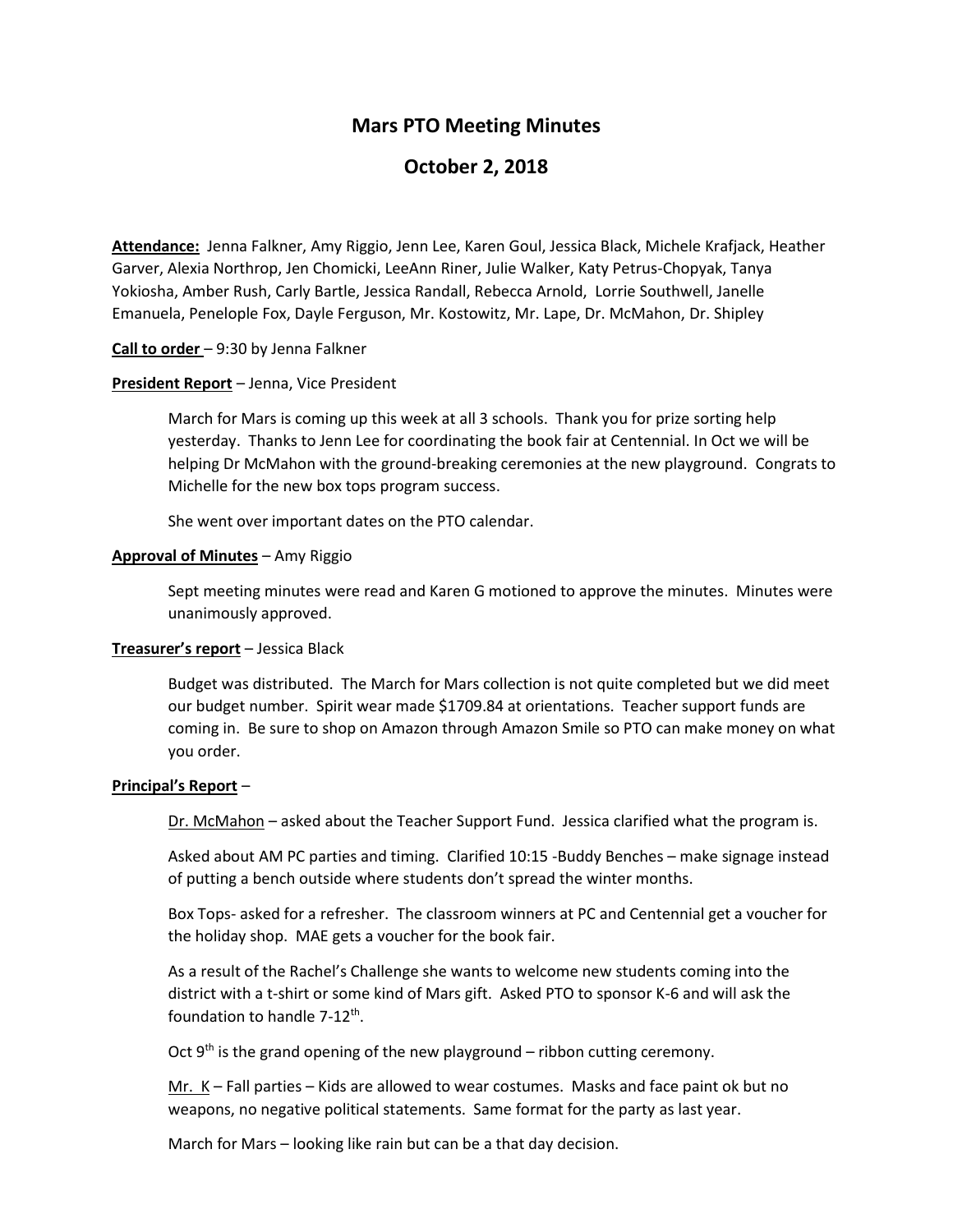# **Mars PTO Meeting Minutes**

# **October 2, 2018**

**Attendance:** Jenna Falkner, Amy Riggio, Jenn Lee, Karen Goul, Jessica Black, Michele Krafjack, Heather Garver, Alexia Northrop, Jen Chomicki, LeeAnn Riner, Julie Walker, Katy Petrus-Chopyak, Tanya Yokiosha, Amber Rush, Carly Bartle, Jessica Randall, Rebecca Arnold, Lorrie Southwell, Janelle Emanuela, Penelople Fox, Dayle Ferguson, Mr. Kostowitz, Mr. Lape, Dr. McMahon, Dr. Shipley

# **Call to order** – 9:30 by Jenna Falkner

# **President Report** – Jenna, Vice President

March for Mars is coming up this week at all 3 schools. Thank you for prize sorting help yesterday. Thanks to Jenn Lee for coordinating the book fair at Centennial. In Oct we will be helping Dr McMahon with the ground-breaking ceremonies at the new playground. Congrats to Michelle for the new box tops program success.

She went over important dates on the PTO calendar.

# **Approval of Minutes** – Amy Riggio

Sept meeting minutes were read and Karen G motioned to approve the minutes. Minutes were unanimously approved.

# **Treasurer's report** – Jessica Black

Budget was distributed. The March for Mars collection is not quite completed but we did meet our budget number. Spirit wear made \$1709.84 at orientations. Teacher support funds are coming in. Be sure to shop on Amazon through Amazon Smile so PTO can make money on what you order.

# **Principal's Report** –

Dr. McMahon – asked about the Teacher Support Fund. Jessica clarified what the program is.

Asked about AM PC parties and timing. Clarified 10:15 -Buddy Benches – make signage instead of putting a bench outside where students don't spread the winter months.

Box Tops- asked for a refresher. The classroom winners at PC and Centennial get a voucher for the holiday shop. MAE gets a voucher for the book fair.

As a result of the Rachel's Challenge she wants to welcome new students coming into the district with a t-shirt or some kind of Mars gift. Asked PTO to sponsor K-6 and will ask the foundation to handle  $7-12^{th}$ .

Oct  $9<sup>th</sup>$  is the grand opening of the new playground – ribbon cutting ceremony.

Mr.  $K -$  Fall parties  $-$  Kids are allowed to wear costumes. Masks and face paint ok but no weapons, no negative political statements. Same format for the party as last year.

March for Mars – looking like rain but can be a that day decision.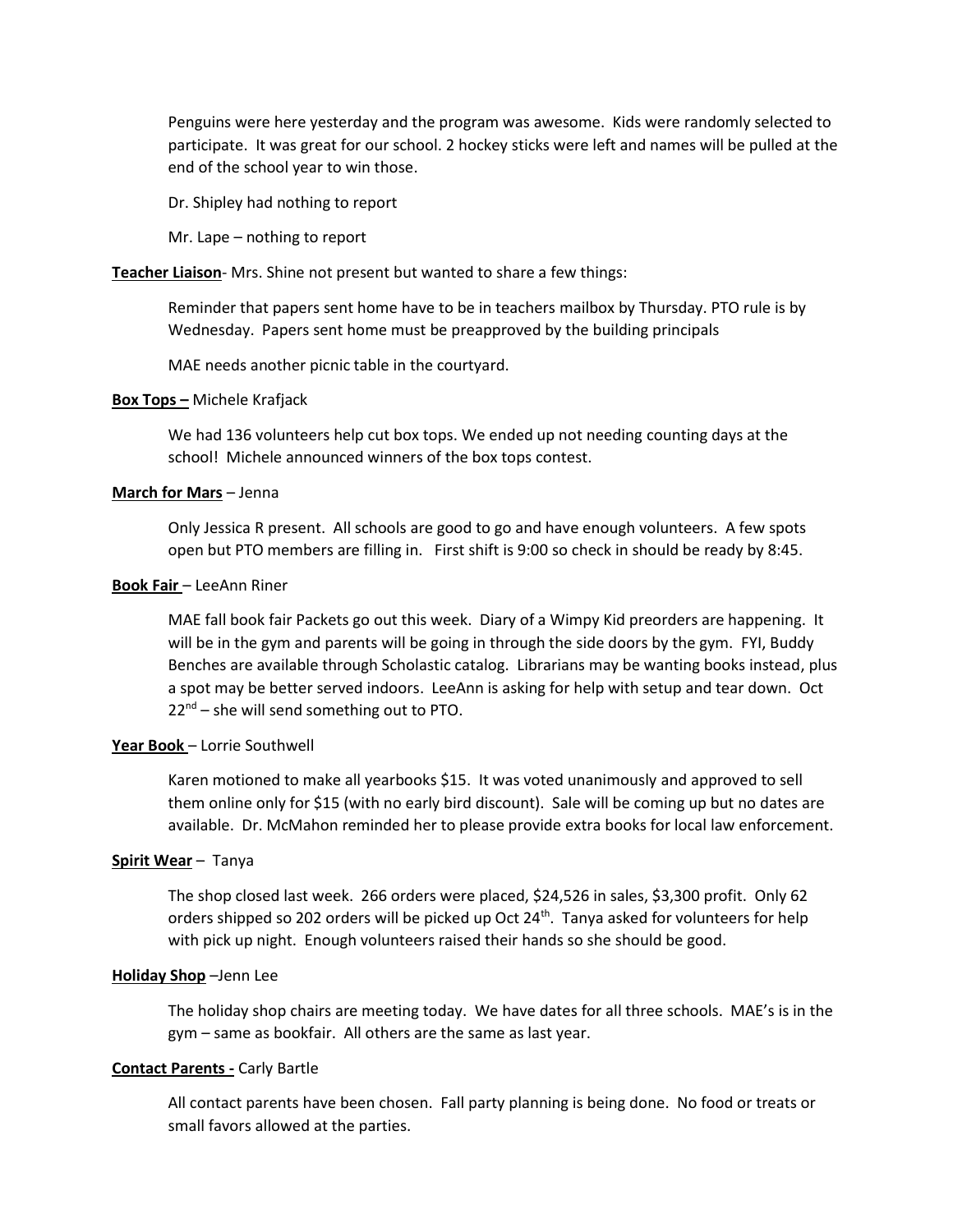Penguins were here yesterday and the program was awesome. Kids were randomly selected to participate. It was great for our school. 2 hockey sticks were left and names will be pulled at the end of the school year to win those.

Dr. Shipley had nothing to report

Mr. Lape – nothing to report

**Teacher Liaison**- Mrs. Shine not present but wanted to share a few things:

Reminder that papers sent home have to be in teachers mailbox by Thursday. PTO rule is by Wednesday. Papers sent home must be preapproved by the building principals

MAE needs another picnic table in the courtyard.

#### **Box Tops –** Michele Krafjack

We had 136 volunteers help cut box tops. We ended up not needing counting days at the school! Michele announced winners of the box tops contest.

### **March for Mars** – Jenna

Only Jessica R present. All schools are good to go and have enough volunteers. A few spots open but PTO members are filling in. First shift is 9:00 so check in should be ready by 8:45.

#### **Book Fair** – LeeAnn Riner

MAE fall book fair Packets go out this week. Diary of a Wimpy Kid preorders are happening. It will be in the gym and parents will be going in through the side doors by the gym. FYI, Buddy Benches are available through Scholastic catalog. Librarians may be wanting books instead, plus a spot may be better served indoors. LeeAnn is asking for help with setup and tear down. Oct  $22<sup>nd</sup>$  – she will send something out to PTO.

## **Year Book** – Lorrie Southwell

Karen motioned to make all yearbooks \$15. It was voted unanimously and approved to sell them online only for \$15 (with no early bird discount). Sale will be coming up but no dates are available. Dr. McMahon reminded her to please provide extra books for local law enforcement.

#### **Spirit Wear** – Tanya

The shop closed last week. 266 orders were placed, \$24,526 in sales, \$3,300 profit. Only 62 orders shipped so 202 orders will be picked up Oct 24<sup>th</sup>. Tanya asked for volunteers for help with pick up night. Enough volunteers raised their hands so she should be good.

#### **Holiday Shop** –Jenn Lee

The holiday shop chairs are meeting today. We have dates for all three schools. MAE's is in the gym – same as bookfair. All others are the same as last year.

## **Contact Parents -** Carly Bartle

All contact parents have been chosen. Fall party planning is being done. No food or treats or small favors allowed at the parties.